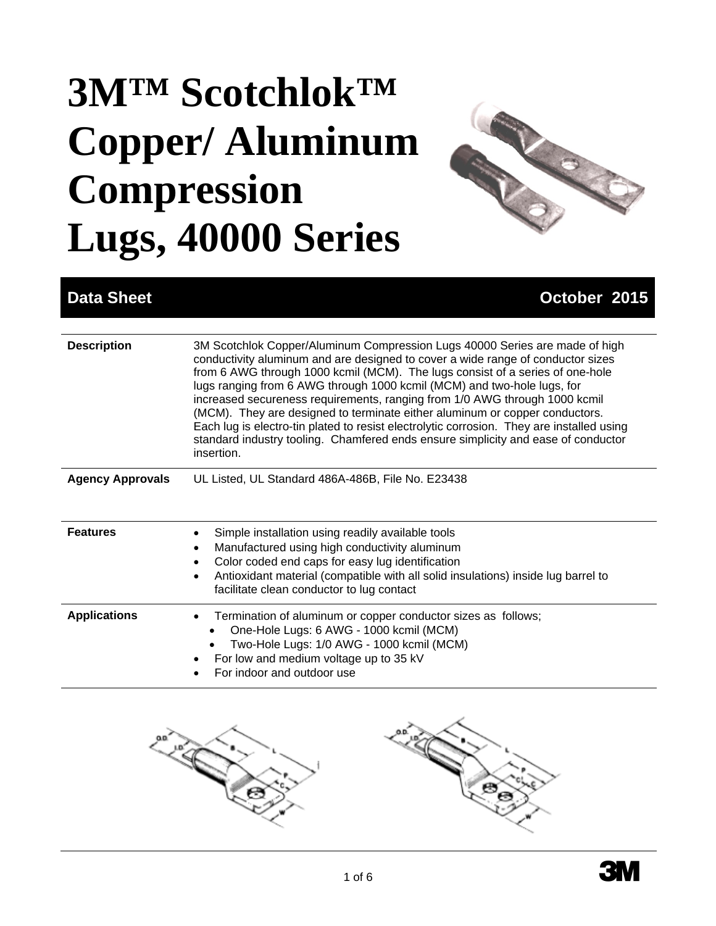# **3M™ Scotchlok™ Copper/ Aluminum Compression Lugs, 40000 Series**



## **Data Sheet Contract Contract Contract Contract Contract Contract Contract Contract Contract Contract Contract Contract Contract Contract Contract Contract Contract Contract Contract Contract Contract Contract Contract Con**

| <b>Description</b>      | 3M Scotchlok Copper/Aluminum Compression Lugs 40000 Series are made of high<br>conductivity aluminum and are designed to cover a wide range of conductor sizes<br>from 6 AWG through 1000 kcmil (MCM). The lugs consist of a series of one-hole<br>lugs ranging from 6 AWG through 1000 kcmil (MCM) and two-hole lugs, for<br>increased secureness requirements, ranging from 1/0 AWG through 1000 kcmil<br>(MCM). They are designed to terminate either aluminum or copper conductors.<br>Each lug is electro-tin plated to resist electrolytic corrosion. They are installed using<br>standard industry tooling. Chamfered ends ensure simplicity and ease of conductor<br>insertion. |
|-------------------------|-----------------------------------------------------------------------------------------------------------------------------------------------------------------------------------------------------------------------------------------------------------------------------------------------------------------------------------------------------------------------------------------------------------------------------------------------------------------------------------------------------------------------------------------------------------------------------------------------------------------------------------------------------------------------------------------|
| <b>Agency Approvals</b> | UL Listed, UL Standard 486A-486B, File No. E23438                                                                                                                                                                                                                                                                                                                                                                                                                                                                                                                                                                                                                                       |
| <b>Features</b>         | Simple installation using readily available tools<br>Manufactured using high conductivity aluminum<br>Color coded end caps for easy lug identification<br>Antioxidant material (compatible with all solid insulations) inside lug barrel to<br>facilitate clean conductor to lug contact                                                                                                                                                                                                                                                                                                                                                                                                |
| <b>Applications</b>     | Termination of aluminum or copper conductor sizes as follows;<br>One-Hole Lugs: 6 AWG - 1000 kcmil (MCM)<br>Two-Hole Lugs: 1/0 AWG - 1000 kcmil (MCM)<br>For low and medium voltage up to 35 kV<br>For indoor and outdoor use                                                                                                                                                                                                                                                                                                                                                                                                                                                           |



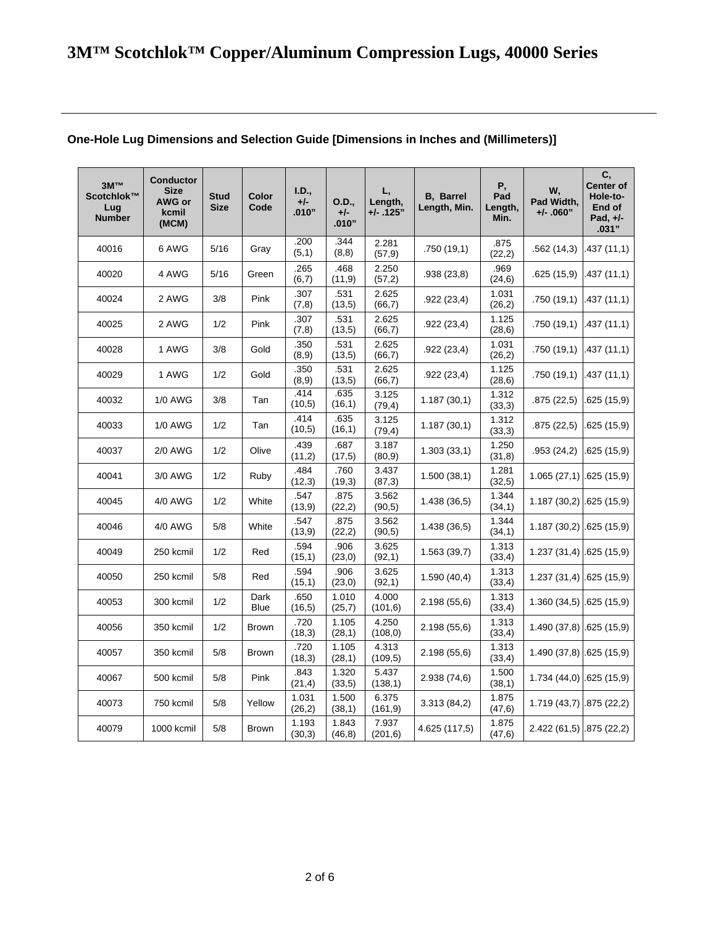| 3M™<br>Scotchlok™<br>Lug<br><b>Number</b> | <b>Conductor</b><br><b>Size</b><br>AWG or<br>kcmil<br>(MCM) | Stud<br><b>Size</b> | Color<br>Code       | I.D.,<br>$+/-$<br>.010" | O.D.,<br>$+/-$<br>.010" | L,<br>Length,<br>$+/-$ .125" | <b>B.</b> Barrel<br>Length, Min. | Ρ,<br>Pad<br>Length,<br>Min. | W,<br>Pad Width,<br>$+/- .060"$ | C,<br><b>Center of</b><br>Hole-to-<br>End of<br>Pad, +/-<br>.031" |
|-------------------------------------------|-------------------------------------------------------------|---------------------|---------------------|-------------------------|-------------------------|------------------------------|----------------------------------|------------------------------|---------------------------------|-------------------------------------------------------------------|
| 40016                                     | 6 AWG                                                       | 5/16                | Gray                | .200<br>(5,1)           | .344<br>(8,8)           | 2.281<br>(57, 9)             | .750(19,1)                       | .875<br>(22, 2)              | .562(14,3)                      | 437 (11,1)                                                        |
| 40020                                     | 4 AWG                                                       | 5/16                | Green               | .265<br>(6,7)           | .468<br>(11, 9)         | 2.250<br>(57,2)              | .938 (23,8)                      | .969<br>(24, 6)              | .625(15,9)                      | .437 (11,1)                                                       |
| 40024                                     | 2 AWG                                                       | 3/8                 | Pink                | .307<br>(7,8)           | .531<br>(13,5)          | 2.625<br>(66,7)              | .922 (23,4)                      | 1.031<br>(26,2)              | .750(19,1)                      | .437 (11,1)                                                       |
| 40025                                     | 2 AWG                                                       | 1/2                 | Pink                | .307<br>(7, 8)          | .531<br>(13,5)          | 2.625<br>(66,7)              | .922(23,4)                       | 1.125<br>(28, 6)             | .750(19,1)                      | .437 (11,1)                                                       |
| 40028                                     | 1 AWG                                                       | 3/8                 | Gold                | .350<br>(8, 9)          | .531<br>(13,5)          | 2.625<br>(66,7)              | .922 (23,4)                      | 1.031<br>(26,2)              | .750(19,1)                      | .437 (11,1)                                                       |
| 40029                                     | 1 AWG                                                       | 1/2                 | Gold                | .350<br>(8,9)           | .531<br>(13,5)          | 2.625<br>(66,7)              | .922(23,4)                       | 1.125<br>(28, 6)             | .750(19,1)                      | .437 (11,1)                                                       |
| 40032                                     | 1/0 AWG                                                     | 3/8                 | Tan                 | .414<br>(10,5)          | .635<br>(16, 1)         | 3.125<br>(79, 4)             | 1.187(30,1)                      | 1.312<br>(33,3)              | .875(22,5)                      | .625 (15,9)                                                       |
| 40033                                     | <b>1/0 AWG</b>                                              | 1/2                 | Tan                 | .414<br>(10,5)          | .635<br>(16,1)          | 3.125<br>(79, 4)             | 1.187(30,1)                      | 1.312<br>(33,3)              | .875(22,5)                      | .625 (15,9)                                                       |
| 40037                                     | <b>2/0 AWG</b>                                              | 1/2                 | Olive               | .439<br>(11,2)          | .687<br>(17,5)          | 3.187<br>(80, 9)             | 1.303(33,1)                      | 1.250<br>(31,8)              | .953(24,2)                      | .625 (15,9)                                                       |
| 40041                                     | 3/0 AWG                                                     | 1/2                 | Ruby                | .484<br>(12,3)          | .760<br>(19,3)          | 3.437<br>(87, 3)             | 1.500(38,1)                      | 1.281<br>(32,5)              | 1.065(27,1)                     | .625(15,9)                                                        |
| 40045                                     | 4/0 AWG                                                     | 1/2                 | White               | .547<br>(13,9)          | .875<br>(22,2)          | 3.562<br>(90,5)              | 1.438(36,5)                      | 1.344<br>(34,1)              | 1.187(30,2)                     | .625(15,9)                                                        |
| 40046                                     | 4/0 AWG                                                     | 5/8                 | White               | .547<br>(13,9)          | .875<br>(22,2)          | 3.562<br>(90, 5)             | 1.438(36,5)                      | 1.344<br>(34,1)              | $1.187(30,2)$ .625 (15,9)       |                                                                   |
| 40049                                     | 250 kcmil                                                   | 1/2                 | Red                 | .594<br>(15,1)          | .906<br>(23,0)          | 3.625<br>(92, 1)             | 1.563(39,7)                      | 1.313<br>(33,4)              | $1.237(31,4)$ .625 (15,9)       |                                                                   |
| 40050                                     | 250 kcmil                                                   | 5/8                 | Red                 | .594<br>(15,1)          | .906<br>(23,0)          | 3.625<br>(92,1)              | 1.590(40,4)                      | 1.313<br>(33,4)              | $1.237(31,4)$ .625 (15,9)       |                                                                   |
| 40053                                     | 300 kcmil                                                   | 1/2                 | Dark<br><b>Blue</b> | .650<br>(16, 5)         | 1.010<br>(25,7)         | 4.000<br>(101, 6)            | 2.198(55,6)                      | 1.313<br>(33,4)              | $1.360(34,5)$ $.625(15,9)$      |                                                                   |
| 40056                                     | 350 kcmil                                                   | 1/2                 | <b>Brown</b>        | .720<br>(18, 3)         | 1.105<br>(28,1)         | 4.250<br>(108, 0)            | 2.198(55,6)                      | 1.313<br>(33,4)              | 1.490 (37,8) .625 (15,9)        |                                                                   |
| 40057                                     | 350 kcmil                                                   | 5/8                 | <b>Brown</b>        | .720<br>(18,3)          | 1.105<br>(28,1)         | 4.313<br>(109, 5)            | 2.198 (55,6)                     | 1.313<br>(33,4)              | 1.490 (37,8) .625 (15,9)        |                                                                   |
| 40067                                     | 500 kcmil                                                   | 5/8                 | Pink                | .843<br>(21, 4)         | 1.320<br>(33,5)         | 5.437<br>(138, 1)            | 2.938(74,6)                      | 1.500<br>(38,1)              | $1.734(44,0)$ .625 (15,9)       |                                                                   |
| 40073                                     | 750 kcmil                                                   | 5/8                 | Yellow              | 1.031<br>(26, 2)        | 1.500<br>(38,1)         | 6.375<br>(161, 9)            | 3.313(84,2)                      | 1.875<br>(47, 6)             | 1.719(43,7)                     | .875(22,2)                                                        |
| 40079                                     | 1000 kcmil                                                  | 5/8                 | <b>Brown</b>        | 1.193<br>(30,3)         | 1.843<br>(46, 8)        | 7.937<br>(201, 6)            | 4.625 (117,5)                    | 1.875<br>(47, 6)             | 2.422 (61,5) .875 (22,2)        |                                                                   |

#### **One-Hole Lug Dimensions and Selection Guide [Dimensions in Inches and (Millimeters)]**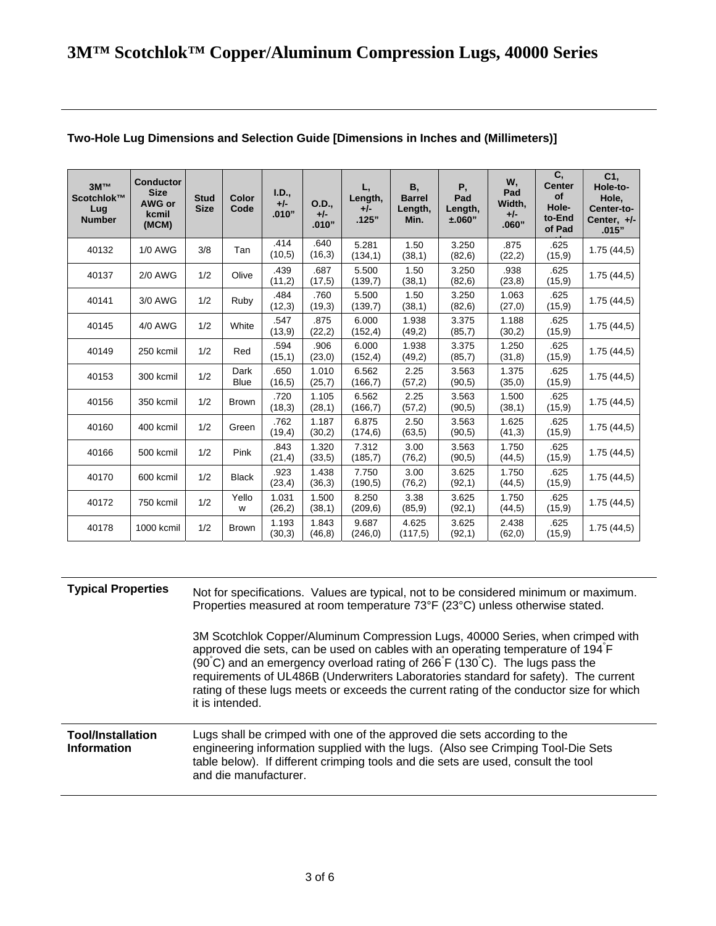| 3M™<br>Scotchlok™<br>Lug<br><b>Number</b> | <b>Conductor</b><br><b>Size</b><br>AWG or<br>kcmil<br>(MCM) | <b>Stud</b><br><b>Size</b> | Color<br>Code       | I.D.,<br>$+/-$<br>.010" | O.D.,<br>$+/-$<br>.010" | L,<br>Length,<br>$+/-$<br>.125" | В,<br><b>Barrel</b><br>Length,<br>Min. | Ρ,<br>Pad<br>Length,<br>±.060" | W,<br>Pad<br>Width,<br>$+/-$<br>.060" | C,<br><b>Center</b><br>of<br>Hole-<br>to-End<br>of Pad | C <sub>1</sub><br>Hole-to-<br>Hole,<br>Center-to-<br>Center, $+/-$<br>.015" |
|-------------------------------------------|-------------------------------------------------------------|----------------------------|---------------------|-------------------------|-------------------------|---------------------------------|----------------------------------------|--------------------------------|---------------------------------------|--------------------------------------------------------|-----------------------------------------------------------------------------|
| 40132                                     | <b>1/0 AWG</b>                                              | 3/8                        | Tan                 | .414<br>(10,5)          | .640<br>(16,3)          | 5.281<br>(134, 1)               | 1.50<br>(38,1)                         | 3.250<br>(82, 6)               | .875<br>(22, 2)                       | .625<br>(15, 9)                                        | 1.75(44.5)                                                                  |
| 40137                                     | <b>2/0 AWG</b>                                              | 1/2                        | Olive               | .439<br>(11,2)          | .687<br>(17,5)          | 5.500<br>(139,7)                | 1.50<br>(38,1)                         | 3.250<br>(82, 6)               | .938<br>(23, 8)                       | .625<br>(15, 9)                                        | 1.75(44,5)                                                                  |
| 40141                                     | 3/0 AWG                                                     | 1/2                        | Ruby                | .484<br>(12,3)          | .760<br>(19,3)          | 5.500<br>(139,7)                | 1.50<br>(38,1)                         | 3.250<br>(82, 6)               | 1.063<br>(27,0)                       | .625<br>(15, 9)                                        | 1.75(44,5)                                                                  |
| 40145                                     | 4/0 AWG                                                     | 1/2                        | White               | .547<br>(13,9)          | .875<br>(22,2)          | 6.000<br>(152, 4)               | 1.938<br>(49,2)                        | 3.375<br>(85,7)                | 1.188<br>(30,2)                       | .625<br>(15, 9)                                        | 1.75(44,5)                                                                  |
| 40149                                     | 250 kcmil                                                   | 1/2                        | Red                 | .594<br>(15,1)          | .906<br>(23,0)          | 6.000<br>(152, 4)               | 1.938<br>(49,2)                        | 3.375<br>(85,7)                | 1.250<br>(31, 8)                      | .625<br>(15, 9)                                        | 1.75(44,5)                                                                  |
| 40153                                     | 300 kcmil                                                   | 1/2                        | Dark<br><b>Blue</b> | .650<br>(16.5)          | 1.010<br>(25,7)         | 6.562<br>(166, 7)               | 2.25<br>(57,2)                         | 3.563<br>(90.5)                | 1.375<br>(35,0)                       | .625<br>(15, 9)                                        | 1.75(44,5)                                                                  |
| 40156                                     | 350 kcmil                                                   | 1/2                        | <b>Brown</b>        | .720<br>(18,3)          | 1.105<br>(28,1)         | 6.562<br>(166, 7)               | 2.25<br>(57,2)                         | 3.563<br>(90, 5)               | 1.500<br>(38,1)                       | .625<br>(15, 9)                                        | 1.75(44,5)                                                                  |
| 40160                                     | 400 kcmil                                                   | 1/2                        | Green               | .762<br>(19,4)          | 1.187<br>(30,2)         | 6.875<br>(174, 6)               | 2.50<br>(63, 5)                        | 3.563<br>(90, 5)               | 1.625<br>(41,3)                       | .625<br>(15, 9)                                        | 1.75(44,5)                                                                  |
| 40166                                     | 500 kcmil                                                   | 1/2                        | Pink                | .843<br>(21, 4)         | 1.320<br>(33,5)         | 7.312<br>(185,7)                | 3.00<br>(76, 2)                        | 3.563<br>(90, 5)               | 1.750<br>(44, 5)                      | .625<br>(15, 9)                                        | 1.75(44,5)                                                                  |
| 40170                                     | 600 kcmil                                                   | 1/2                        | <b>Black</b>        | .923<br>(23, 4)         | 1.438<br>(36,3)         | 7.750<br>(190.5)                | 3.00<br>(76, 2)                        | 3.625<br>(92,1)                | 1.750<br>(44, 5)                      | .625<br>(15, 9)                                        | 1.75(44,5)                                                                  |
| 40172                                     | 750 kcmil                                                   | 1/2                        | Yello<br>W          | 1.031<br>(26, 2)        | 1.500<br>(38,1)         | 8.250<br>(209, 6)               | 3.38<br>(85, 9)                        | 3.625<br>(92,1)                | 1.750<br>(44, 5)                      | .625<br>(15, 9)                                        | 1.75(44,5)                                                                  |
| 40178                                     | 1000 kcmil                                                  | 1/2                        | <b>Brown</b>        | 1.193<br>(30,3)         | 1.843<br>(46, 8)        | 9.687<br>(246, 0)               | 4.625<br>(117,5)                       | 3.625<br>(92,1)                | 2.438<br>(62, 0)                      | .625<br>(15.9)                                         | 1.75(44,5)                                                                  |

### **Two-Hole Lug Dimensions and Selection Guide [Dimensions in Inches and (Millimeters)]**

| <b>Typical Properties</b>                      | Not for specifications. Values are typical, not to be considered minimum or maximum.<br>Properties measured at room temperature 73°F (23°C) unless otherwise stated.                                                                                                                                                                                                                                                                                   |  |  |  |  |  |  |  |
|------------------------------------------------|--------------------------------------------------------------------------------------------------------------------------------------------------------------------------------------------------------------------------------------------------------------------------------------------------------------------------------------------------------------------------------------------------------------------------------------------------------|--|--|--|--|--|--|--|
|                                                | 3M Scotchlok Copper/Aluminum Compression Lugs, 40000 Series, when crimped with<br>approved die sets, can be used on cables with an operating temperature of 194 F<br>(90°C) and an emergency overload rating of 266°F (130°C). The lugs pass the<br>requirements of UL486B (Underwriters Laboratories standard for safety). The current<br>rating of these lugs meets or exceeds the current rating of the conductor size for which<br>it is intended. |  |  |  |  |  |  |  |
| <b>Tool/Installation</b><br><b>Information</b> | Lugs shall be crimped with one of the approved die sets according to the<br>engineering information supplied with the lugs. (Also see Crimping Tool-Die Sets<br>table below). If different crimping tools and die sets are used, consult the tool<br>and die manufacturer.                                                                                                                                                                             |  |  |  |  |  |  |  |
|                                                |                                                                                                                                                                                                                                                                                                                                                                                                                                                        |  |  |  |  |  |  |  |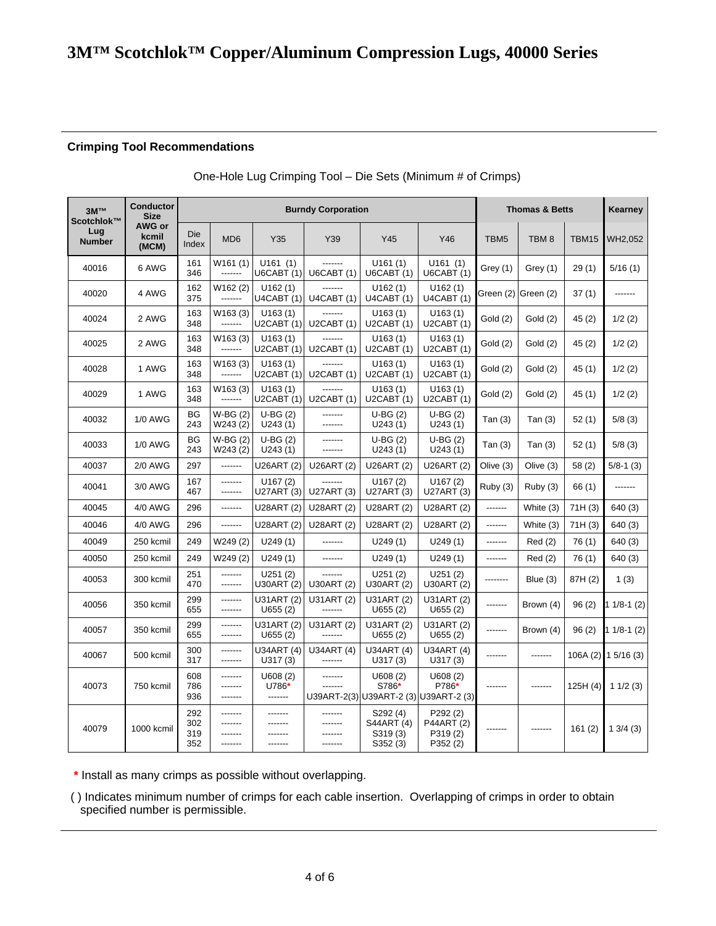# **3M™ Scotchlok™ Copper/Aluminum Compression Lugs, 40000 Series**

#### **Crimping Tool Recommendations**

|  |  | One-Hole Lug Crimping Tool - Die Sets (Minimum # of Crimps) |
|--|--|-------------------------------------------------------------|
|--|--|-------------------------------------------------------------|

| 3M™<br>Scotchlok™    | <b>Conductor</b><br><b>Size</b> |                          |                                 | <b>Burndy Corporation</b>     | <b>Thomas &amp; Betts</b> | Kearney                                                   |                                              |           |                     |         |                     |
|----------------------|---------------------------------|--------------------------|---------------------------------|-------------------------------|---------------------------|-----------------------------------------------------------|----------------------------------------------|-----------|---------------------|---------|---------------------|
| Lug<br><b>Number</b> | AWG or<br>kcmil<br>(MCM)        | Die<br>Index             | MD <sub>6</sub>                 | Y35                           | Y39                       | Y45                                                       | Y46                                          | TBM5      | TBM <sub>8</sub>    | TBM15   | WH2,052             |
| 40016                | 6 AWG                           | 161<br>346               | W161 (1)<br>-------             | U161(1)<br><b>U6CABT (1)</b>  | -------<br>UGCABT(1)      | U161(1)<br>UGCABT(1)                                      | U161(1)<br><b>U6CABT (1)</b>                 | Grey (1)  | Grey (1)            | 29(1)   | 5/16(1)             |
| 40020                | 4 AWG                           | 162<br>375               | W162 (2)<br>-------             | U162(1)<br>U4CABT(1)          | -------<br>U4CABT(1)      | U162(1)<br>U4CABT(1)                                      | U162(1)<br>U4CABT (1)                        |           | Green (2) Green (2) | 37(1)   | -------             |
| 40024                | 2 AWG                           | 163<br>348               | W163 (3)<br>-------             | U163(1)<br>U2CABT(1)          | U2CABT(1)                 | U163(1)<br>U2CABT(1)                                      | U163(1)<br>U2CABT(1)                         | Gold (2)  | Gold (2)            | 45 (2)  | 1/2(2)              |
| 40025                | 2 AWG                           | 163<br>348               | W163 (3)<br>-------             | U163(1)<br><b>U2CABT (1)</b>  | -------<br>U2CABT(1)      | U163(1)<br>U2CABT(1)                                      | U163(1)<br>U2CABT(1)                         | Gold (2)  | Gold (2)            | 45 (2)  | 1/2(2)              |
| 40028                | 1 AWG                           | 163<br>348               | W <sub>163</sub> (3)<br>------- | U163(1)<br>U2CABT(1)          | -------<br>U2CABT(1)      | U163(1)<br>U2CABT(1)                                      | U163(1)<br>U2CABT(1)                         | Gold (2)  | Gold (2)            | 45 (1)  | 1/2(2)              |
| 40029                | 1 AWG                           | 163<br>348               | W163 (3)<br>-------             | U163(1)<br>U2CABT (1)         | -------<br>U2CABT(1)      | U163(1)<br>U2CABT(1)                                      | U163(1)<br>U2CABT(1)                         | Gold (2)  | Gold(2)             | 45(1)   | 1/2(2)              |
| 40032                | <b>1/0 AWG</b>                  | ВG<br>243                | $W-BG(2)$<br>W243 (2)           | $U-BG(2)$<br>U243(1)          | -------<br>-------        | $U-BG(2)$<br>U243(1)                                      | $U-BG(2)$<br>U243(1)                         | Tan $(3)$ | Tan $(3)$           | 52(1)   | 5/8(3)              |
| 40033                | <b>1/0 AWG</b>                  | <b>BG</b><br>243         | $W-BG(2)$<br>W243 (2)           | $U-BG(2)$<br>U243(1)          | -------<br>-------        | $U-BG(2)$<br>U243(1)                                      | $U-BG(2)$<br>U243(1)                         | Tan $(3)$ | Tan $(3)$           | 52(1)   | 5/8(3)              |
| 40037                | <b>2/0 AWG</b>                  | 297                      | -------                         | U26ART (2)                    | U26ART (2)                | U26ART (2)                                                | U26ART (2)                                   | Olive (3) | Olive (3)           | 58(2)   | $5/8-1$ (3)         |
| 40041                | 3/0 AWG                         | 167<br>467               | -------<br>-------              | U167(2)<br>U27ART (3)         | -------<br>U27ART (3)     | U167(2)<br>U27ART (3)                                     | U167(2)<br>U27ART (3)                        | Ruby (3)  | Ruby (3)            | 66(1)   | -------             |
| 40045                | 4/0 AWG                         | 296                      | -------                         | U28ART (2)                    | U28ART (2)                | U28ART (2)                                                | U28ART (2)                                   | -------   | White (3)           | 71H(3)  | 640 (3)             |
| 40046                | 4/0 AWG                         | 296                      | -------                         | U28ART (2)                    | U28ART (2)                | U28ART (2)                                                | U28ART (2)                                   | -------   | White (3)           | 71H(3)  | 640 (3)             |
| 40049                | 250 kcmil                       | 249                      | W249 (2)                        | U249(1)                       | -------                   | U249(1)                                                   | U249(1)                                      | -------   | Red(2)              | 76(1)   | 640 (3)             |
| 40050                | 250 kcmil                       | 249                      | W249 (2)                        | U249(1)                       | -------                   | U249(1)                                                   | U249(1)                                      | -------   | Red(2)              | 76(1)   | 640 (3)             |
| 40053                | 300 kcmil                       | 251<br>470               | -------<br>-------              | U251(2)<br>U30ART (2)         | -------<br>U30ART (2)     | U251(2)<br>U30ART (2)                                     | U251(2)<br>U30ART (2)                        | --------  | Blue $(3)$          | 87H (2) | 1(3)                |
| 40056                | 350 kcmil                       | 299<br>655               | -------<br>-------              | U31ART (2)<br>U655(2)         | U31ART (2)<br>-------     | U31ART (2)<br>U655(2)                                     | U31ART (2)<br>U655(2)                        | -------   | Brown (4)           | 96(2)   | $11/8-1(2)$         |
| 40057                | 350 kcmil                       | 299<br>655               | -------<br>-------              | U31ART (2)<br>U655(2)         | U31ART (2)<br>-------     | U31ART (2)<br>U655(2)                                     | U31ART (2)<br>U655(2)                        | -------   | Brown (4)           | 96(2)   | $11/8-1(2)$         |
| 40067                | 500 kcmil                       | 300<br>317               | -------<br>-------              | U34ART (4)<br>U317(3)         | U34ART (4)<br>-------     | U34ART (4)<br>U317(3)                                     | U34ART (4)<br>U317(3)                        | -------   | -------             |         | 106A (2) 1 5/16 (3) |
| 40073                | 750 kcmil                       | 608<br>786<br>936        | -------<br>-------<br>-------   | U608(2)<br>$U786*$<br>------- | -------                   | U608(2)<br>S786*<br>U39ART-2(3) U39ART-2 (3) U39ART-2 (3) | U608(2)<br>P786*                             | -------   | -------             | 125H(4) | 11/2(3)             |
| 40079                | 1000 kcmil                      | 292<br>302<br>319<br>352 | -------<br>-------<br>-------   | -------<br>-------            |                           | S292 (4)<br>S44ART (4)<br>S319 (3)<br>S352 (3)            | P292(2)<br>P44ART (2)<br>P319(2)<br>P352 (2) | -------   | -------             | 161(2)  | 13/4(3)             |

 **\*** Install as many crimps as possible without overlapping.

 ( ) Indicates minimum number of crimps for each cable insertion. Overlapping of crimps in order to obtain specified number is permissible.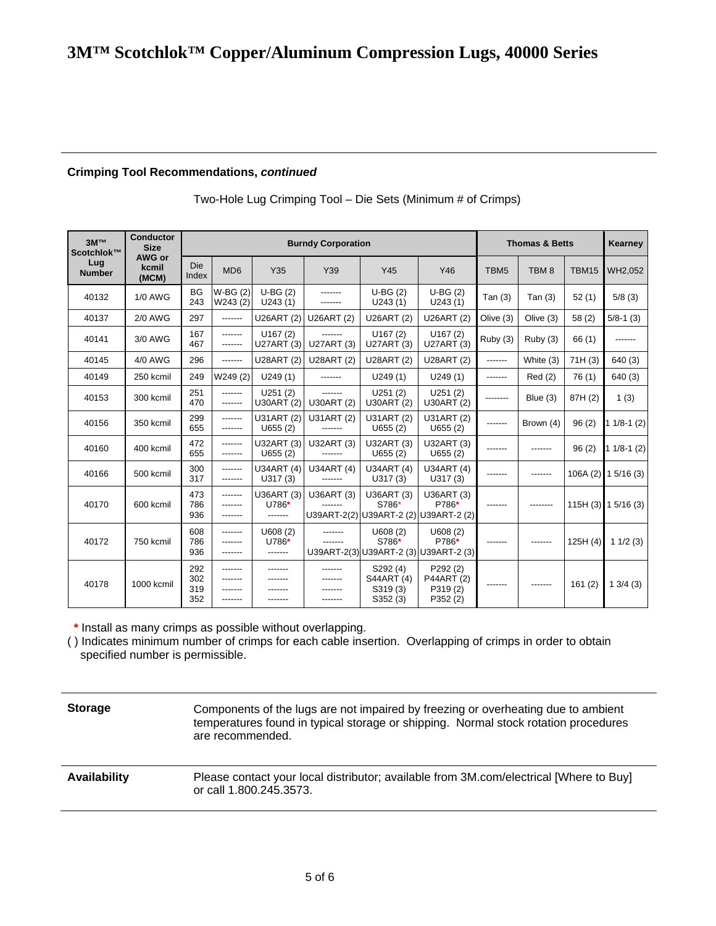#### **Crimping Tool Recommendations,** *continued*

| 3M™<br>Scotchlok™    | <b>Conductor</b><br><b>Size</b> |                          |                      |                                | <b>Burndy Corporation</b> |                                               | <b>Thomas &amp; Betts</b>                                    |                  | Kearney          |         |                      |
|----------------------|---------------------------------|--------------------------|----------------------|--------------------------------|---------------------------|-----------------------------------------------|--------------------------------------------------------------|------------------|------------------|---------|----------------------|
| Lug<br><b>Number</b> | AWG or<br>kcmil<br>(MCM)        | Die<br>Index             | MD <sub>6</sub>      | Y35                            | Y39                       | Y45                                           | Y46                                                          | TBM <sub>5</sub> | TBM <sub>8</sub> | TBM15   | WH2,052              |
| 40132                | <b>1/0 AWG</b>                  | <b>BG</b><br>243         | $W-BG(2)$<br>W243(2) | $U-BG(2)$<br>U243(1)           | -------                   | $U-BG(2)$<br>U243(1)                          | $U-BG(2)$<br>U243(1)                                         | Tan $(3)$        | Tan $(3)$        | 52(1)   | 5/8(3)               |
| 40137                | <b>2/0 AWG</b>                  | 297                      | -------              | U26ART (2)                     | U26ART (2)                | U26ART (2)                                    | U26ART (2)                                                   | Olive (3)        | Olive (3)        | 58(2)   | $5/8-1(3)$           |
| 40141                | 3/0 AWG                         | 167<br>467               | -------<br>-------   | U167(2)<br>U27ART (3)          | -------<br>U27ART (3)     | U167(2)<br>U27ART (3)                         | U167(2)<br>U27ART (3)                                        | Ruby (3)         | Ruby (3)         | 66(1)   | -------              |
| 40145                | 4/0 AWG                         | 296                      | -------              | U28ART (2)                     | U28ART (2)                | U28ART (2)                                    | U28ART (2)                                                   | -------          | White (3)        | 71H(3)  | 640 (3)              |
| 40149                | 250 kcmil                       | 249                      | W249 (2)             | U249(1)                        | -------                   | U249(1)                                       | U249(1)                                                      | -------          | Red(2)           | 76(1)   | 640 (3)              |
| 40153                | 300 kcmil                       | 251<br>470               | -------<br>-------   | U251(2)<br>U30ART (2)          | -------<br>U30ART (2)     | U251(2)<br>U30ART (2)                         | U251(2)<br>U30ART (2)                                        | --------         | Blue $(3)$       | 87H (2) | 1(3)                 |
| 40156                | 350 kcmil                       | 299<br>655               | -------<br>-------   | U31ART (2)<br>U655(2)          | U31ART (2)<br>-------     | U31ART (2)<br>U655(2)                         | U31ART (2)<br>U655(2)                                        | -------          | Brown (4)        | 96(2)   | $11/8-1(2)$          |
| 40160                | 400 kcmil                       | 472<br>655               | -------<br>-------   | U32ART (3)<br>U655(2)          | U32ART (3)<br>-------     | U32ART (3)<br>U655(2)                         | U32ART (3)<br>U655(2)                                        | -------          | -------          | 96(2)   | $11/8-1(2)$          |
| 40166                | 500 kcmil                       | 300<br>317               | -------<br>-------   | U34ART (4)<br>U317(3)          | U34ART (4)<br>-------     | U34ART (4)<br>U317(3)                         | U34ART (4)<br>U317(3)                                        | -------          | -------          |         | $106A(2)$ 1 5/16 (3) |
| 40170                | 600 kcmil                       | 473<br>786<br>936        | -------<br>-------   | U36ART (3)<br>U786*<br>------- | U36ART (3)                | U36ART (3)<br>S786*                           | U36ART (3)<br>P786*<br>U39ART-2(2) U39ART-2 (2) U39ART-2 (2) | -------          |                  |         | $115H(3)$ 1 5/16 (3) |
| 40172                | 750 kcmil                       | 608<br>786<br>936        | -------<br>--------  | U608(2)<br>U786*<br>-------    | -------                   | U608(2)<br>S786*                              | U608(2)<br>P786*<br>U39ART-2(3) U39ART-2 (3) U39ART-2 (3)    |                  |                  | 125H(4) | 11/2(3)              |
| 40178                | 1000 kcmil                      | 292<br>302<br>319<br>352 | -------<br>-------   |                                | -------                   | S292 (4)<br>S44ART (4)<br>S319 (3)<br>S352(3) | P292 (2)<br>P44ART (2)<br>P319(2)<br>P352 (2)                | -------          |                  | 161(2)  | 13/4(3)              |

Two-Hole Lug Crimping Tool – Die Sets (Minimum # of Crimps)

 **\*** Install as many crimps as possible without overlapping.

( ) Indicates minimum number of crimps for each cable insertion. Overlapping of crimps in order to obtain specified number is permissible.

**Storage Components of the lugs are not impaired by freezing or overheating due to ambient** temperatures found in typical storage or shipping. Normal stock rotation procedures are recommended.

**Availability** Please contact your local distributor; available from 3M.com/electrical [Where to Buy] or call 1.800.245.3573.